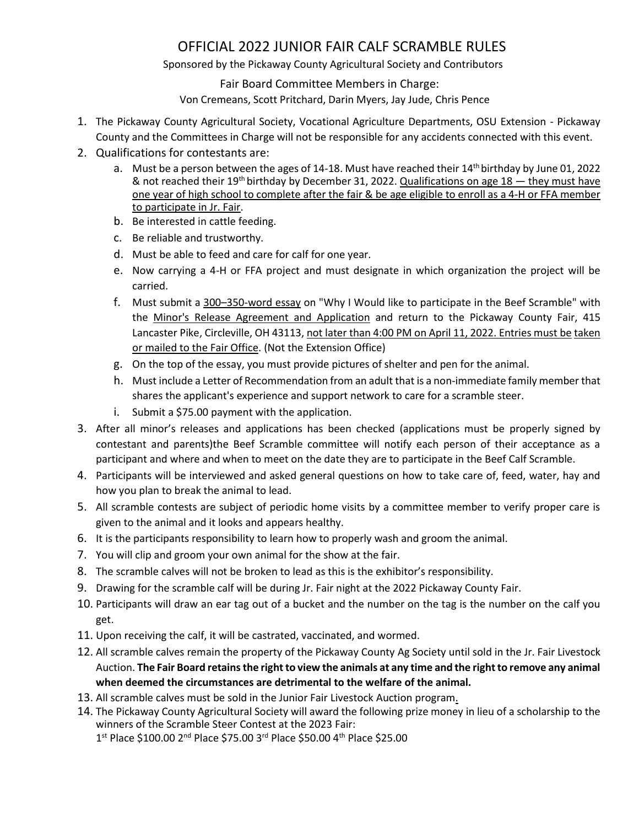## OFFICIAL 2022 JUNIOR FAIR CALF SCRAMBLE RULES

Sponsored by the Pickaway County Agricultural Society and Contributors

Fair Board Committee Members in Charge:

Von Cremeans, Scott Pritchard, Darin Myers, Jay Jude, Chris Pence

- 1. The Pickaway County Agricultural Society, Vocational Agriculture Departments, OSU Extension Pickaway County and the Committees in Charge will not be responsible for any accidents connected with this event.
- 2. Qualifications for contestants are:
	- a. Must be a person between the ages of 14-18. Must have reached their 14<sup>th</sup> birthday by June 01, 2022 & not reached their 19<sup>th</sup> birthday by December 31, 2022. Qualifications on age 18 – they must have one year of high school to complete after the fair & be age eligible to enroll as a 4-H or FFA member to participate in Jr. Fair.
	- b. Be interested in cattle feeding.
	- c. Be reliable and trustworthy.
	- d. Must be able to feed and care for calf for one year.
	- e. Now carrying a 4-H or FFA project and must designate in which organization the project will be carried.
	- f. Must submit a 300–350-word essay on "Why I Would like to participate in the Beef Scramble" with the Minor's Release Agreement and Application and return to the Pickaway County Fair, 415 Lancaster Pike, Circleville, OH 43113, not later than 4:00 PM on April 11, 2022. Entries must be taken or mailed to the Fair Office. (Not the Extension Office)
	- g. On the top of the essay, you must provide pictures of shelter and pen for the animal.
	- h. Must include a Letter of Recommendation from an adult that is a non-immediate family member that shares the applicant's experience and support network to care for a scramble steer.
	- i. Submit a \$75.00 payment with the application.
- 3. After all minor's releases and applications has been checked (applications must be properly signed by contestant and parents)the Beef Scramble committee will notify each person of their acceptance as a participant and where and when to meet on the date they are to participate in the Beef Calf Scramble.
- 4. Participants will be interviewed and asked general questions on how to take care of, feed, water, hay and how you plan to break the animal to lead.
- 5. All scramble contests are subject of periodic home visits by a committee member to verify proper care is given to the animal and it looks and appears healthy.
- 6. It is the participants responsibility to learn how to properly wash and groom the animal.
- 7. You will clip and groom your own animal for the show at the fair.
- 8. The scramble calves will not be broken to lead as this is the exhibitor's responsibility.
- 9. Drawing for the scramble calf will be during Jr. Fair night at the 2022 Pickaway County Fair.
- 10. Participants will draw an ear tag out of a bucket and the number on the tag is the number on the calf you get.
- 11. Upon receiving the calf, it will be castrated, vaccinated, and wormed.
- 12. All scramble calves remain the property of the Pickaway County Ag Society until sold in the Jr. Fair Livestock Auction. **The Fair Board retains the right to view the animals at any time and the right to remove any animal when deemed the circumstances are detrimental to the welfare of the animal.**
- 13. All scramble calves must be sold in the Junior Fair Livestock Auction program.
- 14. The Pickaway County Agricultural Society will award the following prize money in lieu of a scholarship to the winners of the Scramble Steer Contest at the 2023 Fair:

1st Place \$100.00 2<sup>nd</sup> Place \$75.00 3<sup>rd</sup> Place \$50.00 4<sup>th</sup> Place \$25.00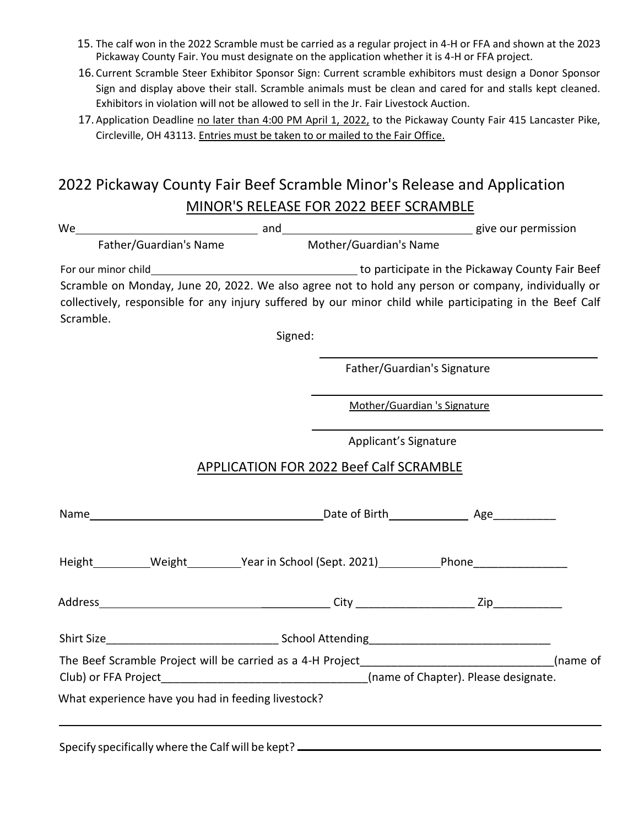- 15. The calf won in the 2022 Scramble must be carried as a regular project in 4-H or FFA and shown at the 2023 Pickaway County Fair. You must designate on the application whether it is 4-H or FFA project.
- 16. Current Scramble Steer Exhibitor Sponsor Sign: Current scramble exhibitors must design a Donor Sponsor Sign and display above their stall. Scramble animals must be clean and cared for and stalls kept cleaned. Exhibitors in violation will not be allowed to sell in the Jr. Fair Livestock Auction.
- 17.Application Deadline no later than 4:00 PM April 1, 2022, to the Pickaway County Fair 415 Lancaster Pike, Circleville, OH 43113. Entries must be taken to or mailed to the Fair Office.

## 2022 Pickaway County Fair Beef Scramble Minor's Release and Application MINOR'S RELEASE FOR 2022 BEEF SCRAMBLE

| and and and and and and and a series are permission<br>We                                                 |                                                |                              |  |  |  |
|-----------------------------------------------------------------------------------------------------------|------------------------------------------------|------------------------------|--|--|--|
| Father/Guardian's Name                                                                                    |                                                | Mother/Guardian's Name       |  |  |  |
|                                                                                                           |                                                |                              |  |  |  |
| Scramble on Monday, June 20, 2022. We also agree not to hold any person or company, individually or       |                                                |                              |  |  |  |
| collectively, responsible for any injury suffered by our minor child while participating in the Beef Calf |                                                |                              |  |  |  |
| Scramble.                                                                                                 |                                                |                              |  |  |  |
|                                                                                                           | Signed:                                        |                              |  |  |  |
|                                                                                                           |                                                |                              |  |  |  |
|                                                                                                           |                                                | Father/Guardian's Signature  |  |  |  |
|                                                                                                           |                                                | Mother/Guardian 's Signature |  |  |  |
|                                                                                                           |                                                |                              |  |  |  |
|                                                                                                           |                                                | Applicant's Signature        |  |  |  |
|                                                                                                           | <b>APPLICATION FOR 2022 Beef Calf SCRAMBLE</b> |                              |  |  |  |
|                                                                                                           |                                                |                              |  |  |  |
|                                                                                                           |                                                |                              |  |  |  |
| Height___________Weight____________Year in School (Sept. 2021)___________Phone_____________________       |                                                |                              |  |  |  |
|                                                                                                           |                                                |                              |  |  |  |
|                                                                                                           |                                                |                              |  |  |  |
|                                                                                                           |                                                |                              |  |  |  |
| The Beef Scramble Project will be carried as a 4-H Project_________________________________(name of       |                                                |                              |  |  |  |
|                                                                                                           |                                                |                              |  |  |  |
| What experience have you had in feeding livestock?                                                        |                                                |                              |  |  |  |
|                                                                                                           |                                                |                              |  |  |  |
|                                                                                                           |                                                |                              |  |  |  |